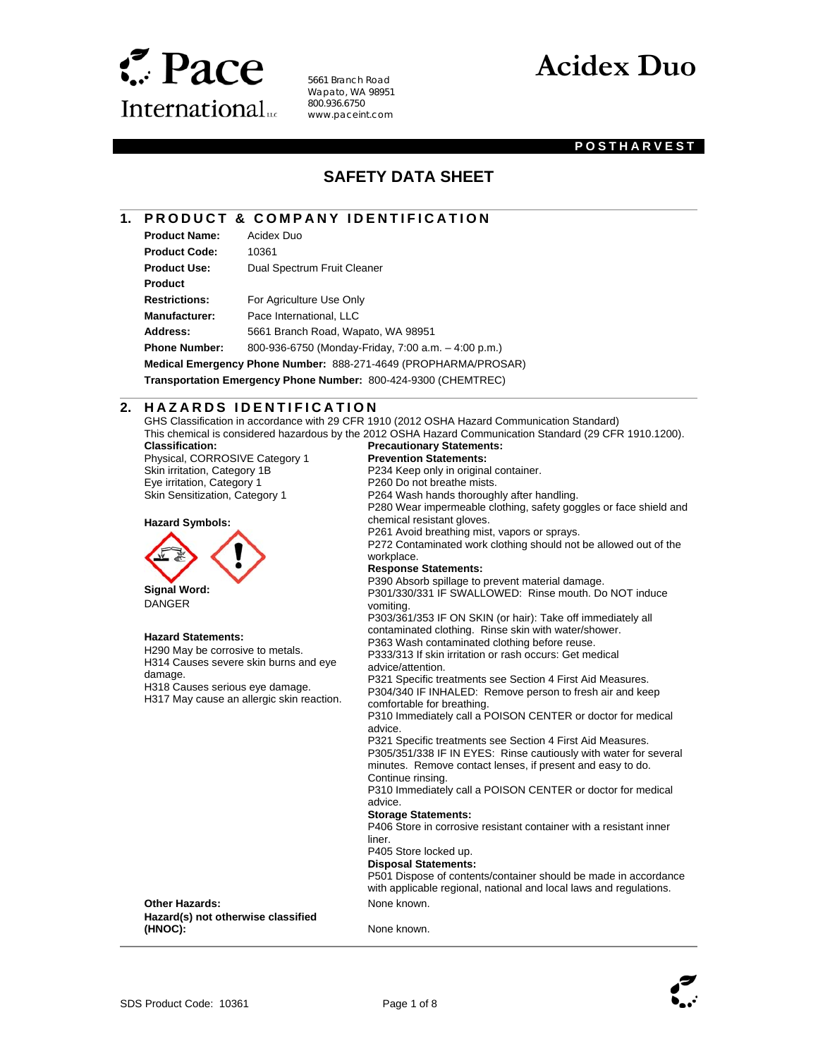

 $\overline{\phantom{a}}$ 

5661 Branch Road Wapato, WA 98951 800.936.6750 www.paceint.com

# **Acidex Duo**

### **POSTHARVEST**

## **SAFETY DATA SHEET**

### **1. PRODUCT & COMPANY IDENTIFICATION**

| <b>Product Name:</b> | Acidex Duo                                                      |
|----------------------|-----------------------------------------------------------------|
| <b>Product Code:</b> | 10361                                                           |
| <b>Product Use:</b>  | Dual Spectrum Fruit Cleaner                                     |
| <b>Product</b>       |                                                                 |
| <b>Restrictions:</b> | For Agriculture Use Only                                        |
| <b>Manufacturer:</b> | Pace International, LLC                                         |
| Address:             | 5661 Branch Road, Wapato, WA 98951                              |
| <b>Phone Number:</b> | 800-936-6750 (Monday-Friday, 7:00 a.m. - 4:00 p.m.)             |
|                      | Medical Emergency Phone Number: 888-271-4649 (PROPHARMA/PROSAR) |

**Transportation Emergency Phone Number:** 800-424-9300 (CHEMTREC)

### l **2. HAZARDS IDENTIFICATION**

GHS Classification in accordance with 29 CFR 1910 (2012 OSHA Hazard Communication Standard)

**Classification:**  Physical, CORROSIVE Category 1 Skin irritation, Category 1B Eye irritation, Category 1 Skin Sensitization, Category 1



 **Signal Word:**  DANGER

### **Hazard Statements:**

H290 May be corrosive to metals. H314 Causes severe skin burns and eye damage.

H318 Causes serious eye damage. H317 May cause an allergic skin reaction.

This chemical is considered hazardous by the 2012 OSHA Hazard Communication Standard (29 CFR 1910.1200). **Precautionary Statements: Prevention Statements:**  P234 Keep only in original container. P260 Do not breathe mists. P264 Wash hands thoroughly after handling. P280 Wear impermeable clothing, safety goggles or face shield and chemical resistant gloves. P261 Avoid breathing mist, vapors or sprays. P272 Contaminated work clothing should not be allowed out of the workplace. **Response Statements:**  P390 Absorb spillage to prevent material damage. P301/330/331 IF SWALLOWED: Rinse mouth. Do NOT induce vomiting. P303/361/353 IF ON SKIN (or hair): Take off immediately all contaminated clothing. Rinse skin with water/shower. P363 Wash contaminated clothing before reuse. P333/313 If skin irritation or rash occurs: Get medical advice/attention. P321 Specific treatments see Section 4 First Aid Measures. P304/340 IF INHALED: Remove person to fresh air and keep comfortable for breathing. P310 Immediately call a POISON CENTER or doctor for medical advice. P321 Specific treatments see Section 4 First Aid Measures. P305/351/338 IF IN EYES: Rinse cautiously with water for several minutes. Remove contact lenses, if present and easy to do. Continue rinsing. P310 Immediately call a POISON CENTER or doctor for medical advice. **Storage Statements:**  P406 Store in corrosive resistant container with a resistant inner liner. P405 Store locked up. **Disposal Statements:**  P501 Dispose of contents/container should be made in accordance with applicable regional, national and local laws and regulations. **Other Hazards:** None known.

**Hazard(s) not otherwise classified (HNOC):** None known.

 $\overline{\phantom{a}}$ 



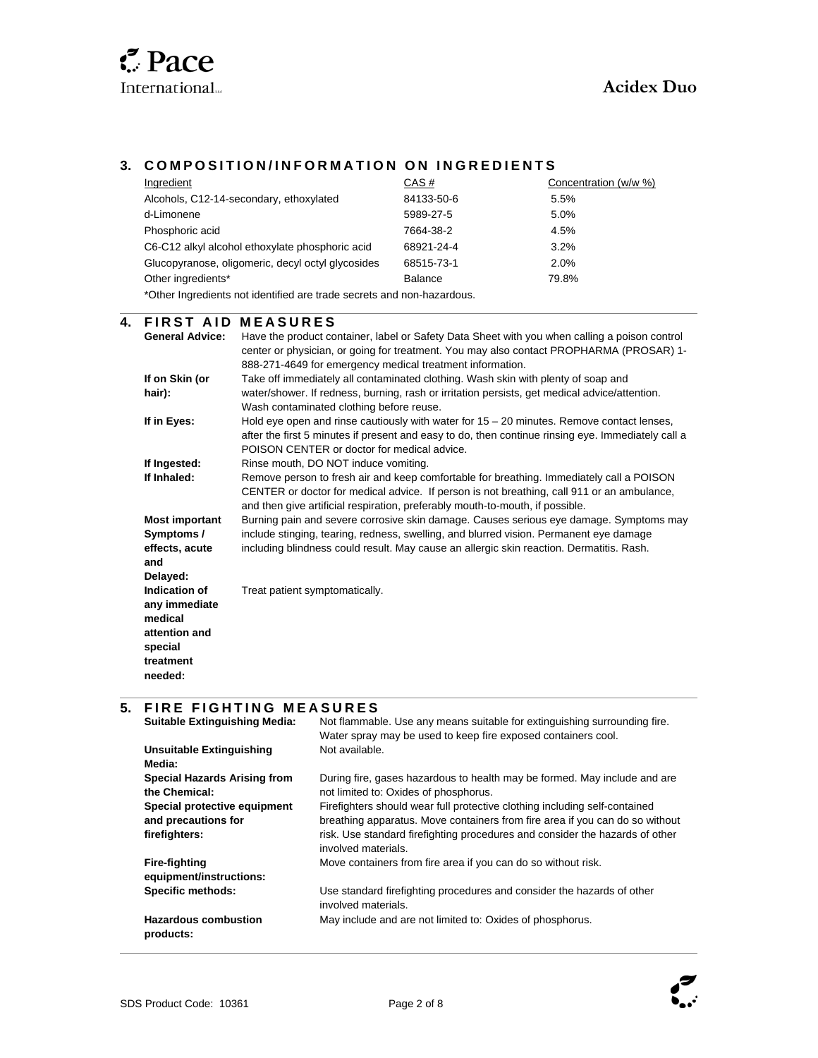l

 $\overline{a}$ 

## **3. COMPOSITION/INFORMATION ON INGREDIENTS**

| Ingredient                                                             | CAS#           | Concentration (w/w %) |  |
|------------------------------------------------------------------------|----------------|-----------------------|--|
| Alcohols, C12-14-secondary, ethoxylated                                | 84133-50-6     | 5.5%                  |  |
| d-Limonene                                                             | 5989-27-5      | 5.0%                  |  |
| Phosphoric acid                                                        | 7664-38-2      | 4.5%                  |  |
| C6-C12 alkyl alcohol ethoxylate phosphoric acid                        | 68921-24-4     | $3.2\%$               |  |
| Glucopyranose, oligomeric, decyl octyl glycosides                      | 68515-73-1     | 2.0%                  |  |
| Other ingredients*                                                     | <b>Balance</b> | 79.8%                 |  |
| *Other Ingredients not identified are trade secrets and non-hazardous. |                |                       |  |

### **4. FIRST AID MEASURES**

| <b>General Advice:</b> | Have the product container, label or Safety Data Sheet with you when calling a poison control<br>center or physician, or going for treatment. You may also contact PROPHARMA (PROSAR) 1- |
|------------------------|------------------------------------------------------------------------------------------------------------------------------------------------------------------------------------------|
|                        | 888-271-4649 for emergency medical treatment information.                                                                                                                                |
| If on Skin (or         | Take off immediately all contaminated clothing. Wash skin with plenty of soap and                                                                                                        |
| hair):                 | water/shower. If redness, burning, rash or irritation persists, get medical advice/attention.                                                                                            |
|                        | Wash contaminated clothing before reuse.                                                                                                                                                 |
| If in Eyes:            | Hold eye open and rinse cautiously with water for $15 - 20$ minutes. Remove contact lenses,                                                                                              |
|                        | after the first 5 minutes if present and easy to do, then continue rinsing eye. Immediately call a                                                                                       |
|                        | POISON CENTER or doctor for medical advice.                                                                                                                                              |
| If Ingested:           | Rinse mouth, DO NOT induce vomiting.                                                                                                                                                     |
| If Inhaled:            | Remove person to fresh air and keep comfortable for breathing. Immediately call a POISON                                                                                                 |
|                        | CENTER or doctor for medical advice. If person is not breathing, call 911 or an ambulance,                                                                                               |
|                        | and then give artificial respiration, preferably mouth-to-mouth, if possible.                                                                                                            |
| <b>Most important</b>  | Burning pain and severe corrosive skin damage. Causes serious eye damage. Symptoms may                                                                                                   |
| Symptoms /             | include stinging, tearing, redness, swelling, and blurred vision. Permanent eye damage                                                                                                   |
| effects, acute         | including blindness could result. May cause an allergic skin reaction. Dermatitis. Rash.                                                                                                 |
| and                    |                                                                                                                                                                                          |
| Delayed:               |                                                                                                                                                                                          |
| Indication of          | Treat patient symptomatically.                                                                                                                                                           |
| any immediate          |                                                                                                                                                                                          |
| medical                |                                                                                                                                                                                          |
| attention and          |                                                                                                                                                                                          |
| special                |                                                                                                                                                                                          |
| treatment              |                                                                                                                                                                                          |
| needed:                |                                                                                                                                                                                          |
|                        |                                                                                                                                                                                          |

## **5. FIRE FIGHTING MEASURES**

| <b>Suitable Extinguishing Media:</b>     | Not flammable. Use any means suitable for extinguishing surrounding fire.<br>Water spray may be used to keep fire exposed containers cool. |
|------------------------------------------|--------------------------------------------------------------------------------------------------------------------------------------------|
| <b>Unsuitable Extinguishing</b>          | Not available.                                                                                                                             |
| Media:                                   |                                                                                                                                            |
| <b>Special Hazards Arising from</b>      | During fire, gases hazardous to health may be formed. May include and are                                                                  |
| the Chemical:                            | not limited to: Oxides of phosphorus.                                                                                                      |
| Special protective equipment             | Firefighters should wear full protective clothing including self-contained                                                                 |
| and precautions for                      | breathing apparatus. Move containers from fire area if you can do so without                                                               |
| firefighters:                            | risk. Use standard firefighting procedures and consider the hazards of other<br>involved materials.                                        |
| <b>Fire-fighting</b>                     | Move containers from fire area if you can do so without risk.                                                                              |
| equipment/instructions:                  |                                                                                                                                            |
| Specific methods:                        | Use standard firefighting procedures and consider the hazards of other<br>involved materials.                                              |
| <b>Hazardous combustion</b><br>products: | May include and are not limited to: Oxides of phosphorus.                                                                                  |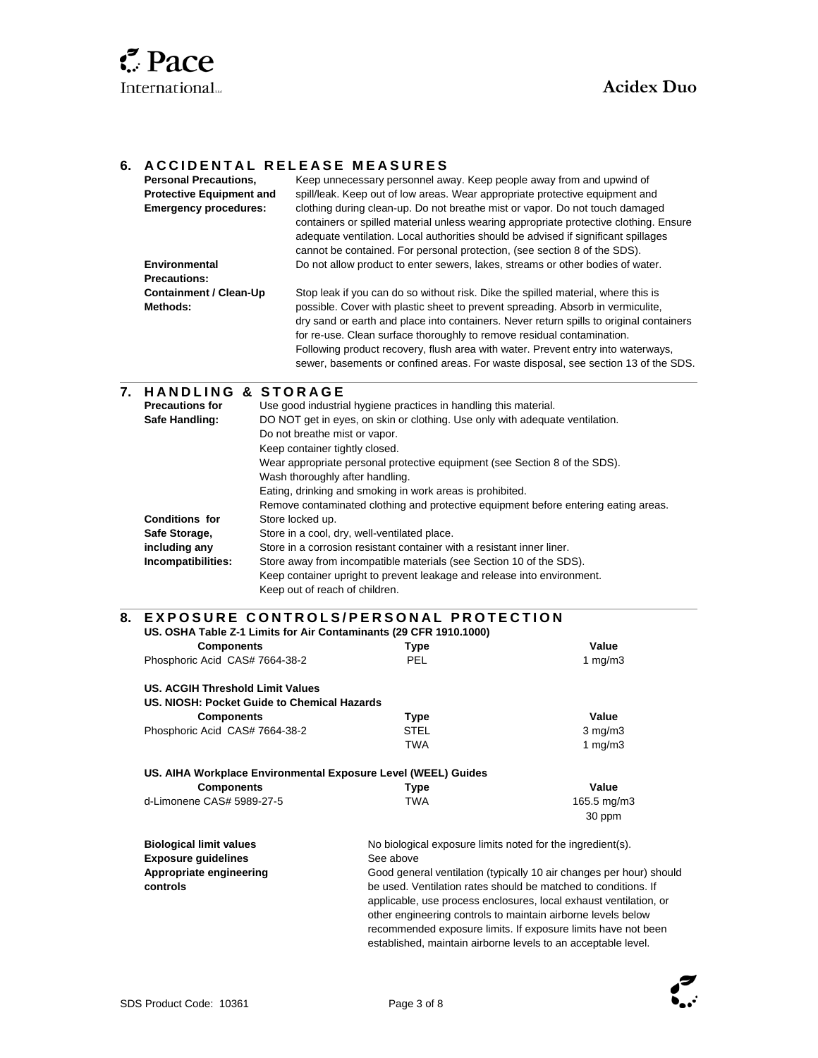

 $\overline{\phantom{a}}$ 

### **6. ACCIDENTAL RELEASE MEASURES**

| <b>Personal Precautions.</b>    | Keep unnecessary personnel away. Keep people away from and upwind of                                                                                                                                                                                                                                                                     |  |  |
|---------------------------------|------------------------------------------------------------------------------------------------------------------------------------------------------------------------------------------------------------------------------------------------------------------------------------------------------------------------------------------|--|--|
| <b>Protective Equipment and</b> | spill/leak. Keep out of low areas. Wear appropriate protective equipment and                                                                                                                                                                                                                                                             |  |  |
| <b>Emergency procedures:</b>    | clothing during clean-up. Do not breathe mist or vapor. Do not touch damaged<br>containers or spilled material unless wearing appropriate protective clothing. Ensure<br>adequate ventilation. Local authorities should be advised if significant spillages<br>cannot be contained. For personal protection, (see section 8 of the SDS). |  |  |
| Environmental                   | Do not allow product to enter sewers, lakes, streams or other bodies of water.                                                                                                                                                                                                                                                           |  |  |
| <b>Precautions:</b>             |                                                                                                                                                                                                                                                                                                                                          |  |  |
| <b>Containment / Clean-Up</b>   | Stop leak if you can do so without risk. Dike the spilled material, where this is                                                                                                                                                                                                                                                        |  |  |
| Methods:                        | possible. Cover with plastic sheet to prevent spreading. Absorb in vermiculite,                                                                                                                                                                                                                                                          |  |  |
|                                 | dry sand or earth and place into containers. Never return spills to original containers                                                                                                                                                                                                                                                  |  |  |
|                                 | for re-use. Clean surface thoroughly to remove residual contamination.                                                                                                                                                                                                                                                                   |  |  |
|                                 | Following product recovery, flush area with water. Prevent entry into waterways,                                                                                                                                                                                                                                                         |  |  |
|                                 | sewer, basements or confined areas. For waste disposal, see section 13 of the SDS.                                                                                                                                                                                                                                                       |  |  |

### **7. H A N D L I N G & S T O R A G E**

| <b>Precautions for</b> | Use good industrial hygiene practices in handling this material.                    |
|------------------------|-------------------------------------------------------------------------------------|
| Safe Handling:         | DO NOT get in eyes, on skin or clothing. Use only with adequate ventilation.        |
|                        | Do not breathe mist or vapor.                                                       |
|                        | Keep container tightly closed.                                                      |
|                        | Wear appropriate personal protective equipment (see Section 8 of the SDS).          |
|                        | Wash thoroughly after handling.                                                     |
|                        | Eating, drinking and smoking in work areas is prohibited.                           |
|                        | Remove contaminated clothing and protective equipment before entering eating areas. |
| <b>Conditions for</b>  | Store locked up.                                                                    |
| Safe Storage,          | Store in a cool, dry, well-ventilated place.                                        |
| including any          | Store in a corrosion resistant container with a resistant inner liner.              |
| Incompatibilities:     | Store away from incompatible materials (see Section 10 of the SDS).                 |
|                        | Keep container upright to prevent leakage and release into environment.             |
|                        | Keep out of reach of children.                                                      |

#### **8. EXPOSURE CONTROLS/PERSONAL PROTECTION US. OSHA Table Z-1 Limits for Air Contaminants (29 CFR 1910.1000)**

| 00. 0011A Table 2-T Ellints for All Ochtammants (20 01 K T9T0.1000) |                                                            |                                                                     |  |
|---------------------------------------------------------------------|------------------------------------------------------------|---------------------------------------------------------------------|--|
| <b>Components</b>                                                   | Type                                                       | Value                                                               |  |
| Phosphoric Acid CAS# 7664-38-2                                      | <b>PEL</b>                                                 | 1 $mg/m3$                                                           |  |
| US. ACGIH Threshold Limit Values                                    |                                                            |                                                                     |  |
| US. NIOSH: Pocket Guide to Chemical Hazards                         |                                                            |                                                                     |  |
| <b>Components</b>                                                   | Type                                                       | Value                                                               |  |
| Phosphoric Acid CAS# 7664-38-2                                      | STEL                                                       | $3$ mg/m $3$                                                        |  |
|                                                                     | TWA                                                        | 1 mg/m $3$                                                          |  |
| US. AIHA Workplace Environmental Exposure Level (WEEL) Guides       |                                                            |                                                                     |  |
| <b>Components</b>                                                   | Type                                                       | Value                                                               |  |
| d-Limonene CAS# 5989-27-5                                           | TWA                                                        | 165.5 mg/m3                                                         |  |
|                                                                     |                                                            | 30 ppm                                                              |  |
| <b>Biological limit values</b>                                      | No biological exposure limits noted for the ingredient(s). |                                                                     |  |
| <b>Exposure guidelines</b>                                          | See above                                                  |                                                                     |  |
| Appropriate engineering                                             |                                                            | Good general ventilation (typically 10 air changes per hour) should |  |
| controls                                                            |                                                            | be used. Ventilation rates should be matched to conditions. If      |  |

be used. Ventilation rates should be matched to conditions. If applicable, use process enclosures, local exhaust ventilation, or other engineering controls to maintain airborne levels below recommended exposure limits. If exposure limits have not been established, maintain airborne levels to an acceptable level.

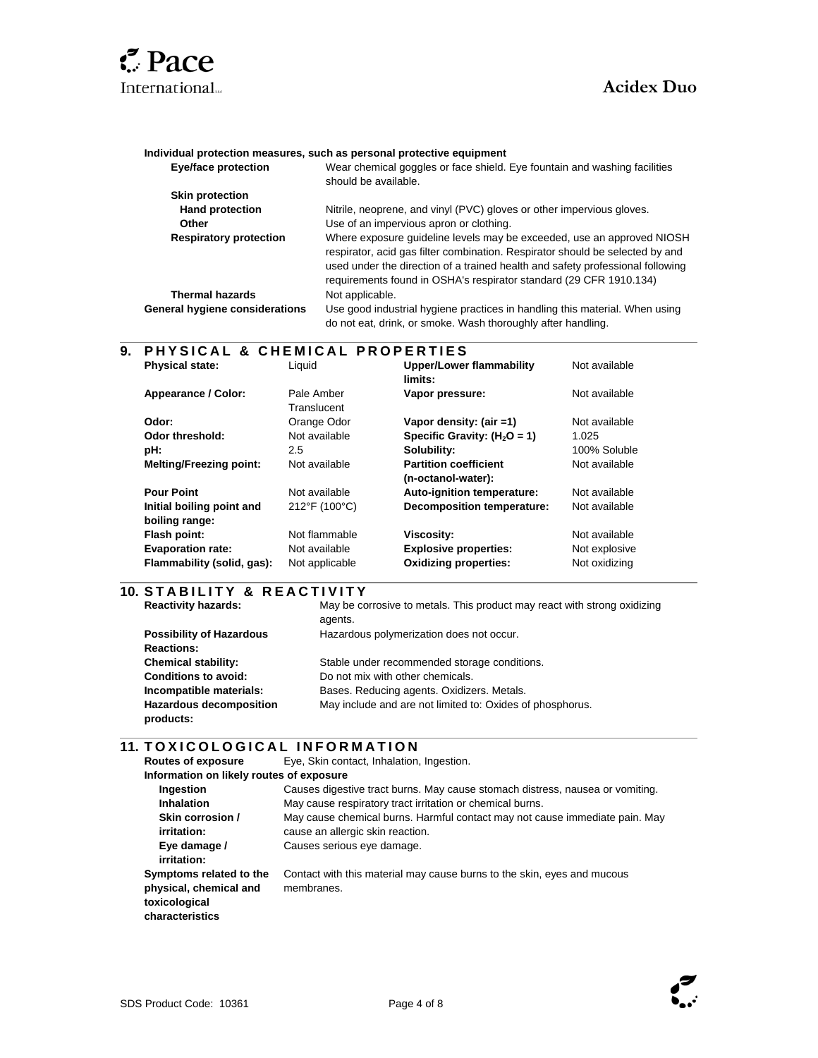

l

l

#### **Individual protection measures, such as personal protective equipment**

| <b>Eye/face protection</b>     | Wear chemical goggles or face shield. Eye fountain and washing facilities<br>should be available.                                                                                                                                                                                                               |
|--------------------------------|-----------------------------------------------------------------------------------------------------------------------------------------------------------------------------------------------------------------------------------------------------------------------------------------------------------------|
| <b>Skin protection</b>         |                                                                                                                                                                                                                                                                                                                 |
| <b>Hand protection</b>         | Nitrile, neoprene, and vinyl (PVC) gloves or other impervious gloves.                                                                                                                                                                                                                                           |
| <b>Other</b>                   | Use of an impervious apron or clothing.                                                                                                                                                                                                                                                                         |
| <b>Respiratory protection</b>  | Where exposure quideline levels may be exceeded, use an approved NIOSH<br>respirator, acid gas filter combination. Respirator should be selected by and<br>used under the direction of a trained health and safety professional following<br>requirements found in OSHA's respirator standard (29 CFR 1910.134) |
| <b>Thermal hazards</b>         | Not applicable.                                                                                                                                                                                                                                                                                                 |
| General hygiene considerations | Use good industrial hygiene practices in handling this material. When using<br>do not eat, drink, or smoke. Wash thoroughly after handling.                                                                                                                                                                     |

### **9. P H Y S I C A L & C H E M I C A L P R O P E R T I E S**

| <b>Physical state:</b>                      | Liquid                    | <b>Upper/Lower flammability</b><br>limits:         | Not available |
|---------------------------------------------|---------------------------|----------------------------------------------------|---------------|
| Appearance / Color:                         | Pale Amber<br>Translucent | Vapor pressure:                                    | Not available |
| Odor:                                       | Orange Odor               | Vapor density: (air =1)                            | Not available |
| Odor threshold:                             | Not available             | Specific Gravity: $(H2O = 1)$                      | 1.025         |
| pH:                                         | 2.5                       | Solubility:                                        | 100% Soluble  |
| <b>Melting/Freezing point:</b>              | Not available             | <b>Partition coefficient</b><br>(n-octanol-water): | Not available |
| <b>Pour Point</b>                           | Not available             | Auto-ignition temperature:                         | Not available |
| Initial boiling point and<br>boiling range: | 212°F (100°C)             | Decomposition temperature:                         | Not available |
| Flash point:                                | Not flammable             | Viscosity:                                         | Not available |
| <b>Evaporation rate:</b>                    | Not available             | <b>Explosive properties:</b>                       | Not explosive |
| Flammability (solid, gas):                  | Not applicable            | <b>Oxidizing properties:</b>                       | Not oxidizing |

### **10. S T A B I L I T Y & R E A C T I V I T Y**

| <b>Reactivity hazards:</b>      | May be corrosive to metals. This product may react with strong oxidizing |
|---------------------------------|--------------------------------------------------------------------------|
|                                 | agents.                                                                  |
| <b>Possibility of Hazardous</b> | Hazardous polymerization does not occur.                                 |
| <b>Reactions:</b>               |                                                                          |
| <b>Chemical stability:</b>      | Stable under recommended storage conditions.                             |
| <b>Conditions to avoid:</b>     | Do not mix with other chemicals.                                         |
| Incompatible materials:         | Bases. Reducing agents. Oxidizers. Metals.                               |
| <b>Hazardous decomposition</b>  | May include and are not limited to: Oxides of phosphorus.                |
| products:                       |                                                                          |

### **11. TOXICOLOGICAL INFORMATION**

| <b>Routes of exposure</b>                                                             | Eye, Skin contact, Inhalation, Ingestion.                                                                       |  |  |
|---------------------------------------------------------------------------------------|-----------------------------------------------------------------------------------------------------------------|--|--|
| Information on likely routes of exposure                                              |                                                                                                                 |  |  |
| Ingestion                                                                             | Causes digestive tract burns. May cause stomach distress, nausea or vomiting.                                   |  |  |
| <b>Inhalation</b>                                                                     | May cause respiratory tract irritation or chemical burns.                                                       |  |  |
| Skin corrosion /<br>irritation:                                                       | May cause chemical burns. Harmful contact may not cause immediate pain. May<br>cause an allergic skin reaction. |  |  |
| Eye damage /<br>irritation:                                                           | Causes serious eye damage.                                                                                      |  |  |
| Symptoms related to the<br>physical, chemical and<br>toxicological<br>characteristics | Contact with this material may cause burns to the skin, eyes and mucous<br>membranes.                           |  |  |

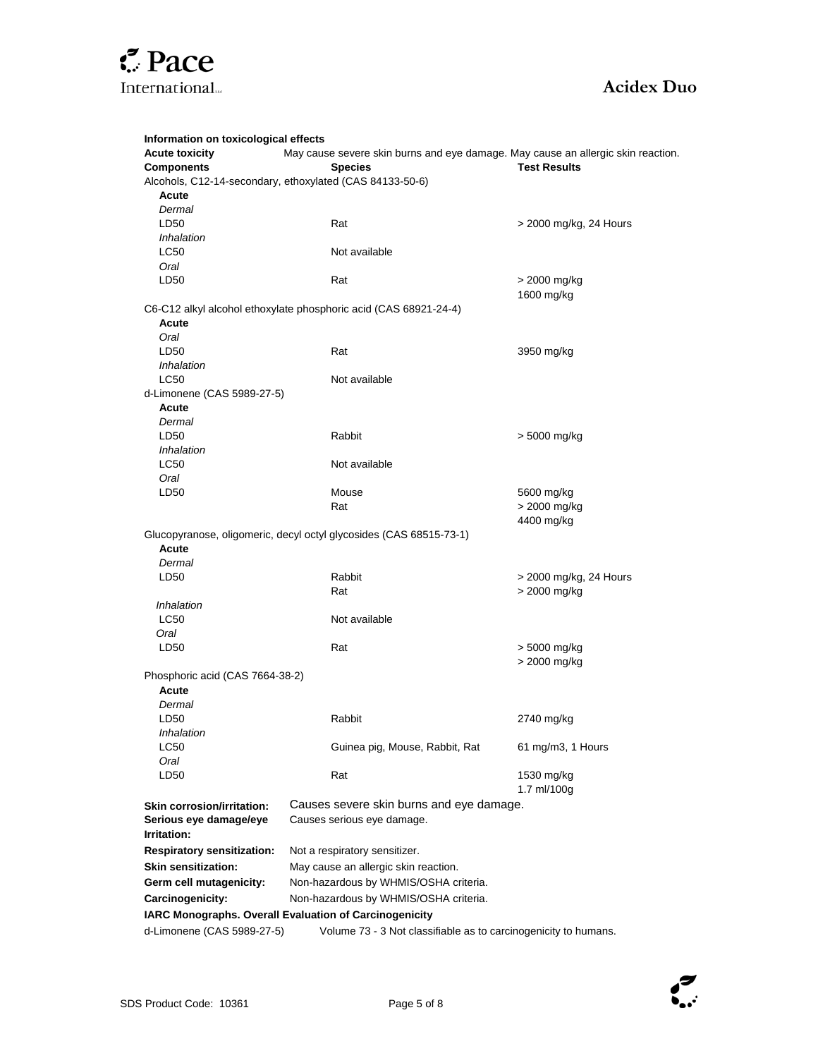

| Information on toxicological effects                                                          |                                                                                  |                        |  |
|-----------------------------------------------------------------------------------------------|----------------------------------------------------------------------------------|------------------------|--|
| <b>Acute toxicity</b>                                                                         | May cause severe skin burns and eye damage. May cause an allergic skin reaction. |                        |  |
| <b>Components</b>                                                                             | <b>Species</b>                                                                   | <b>Test Results</b>    |  |
|                                                                                               | Alcohols, C12-14-secondary, ethoxylated (CAS 84133-50-6)                         |                        |  |
| Acute                                                                                         |                                                                                  |                        |  |
| Dermal<br>LD50                                                                                | Rat                                                                              |                        |  |
| Inhalation                                                                                    |                                                                                  | > 2000 mg/kg, 24 Hours |  |
| <b>LC50</b>                                                                                   | Not available                                                                    |                        |  |
| Oral                                                                                          |                                                                                  |                        |  |
| LD50                                                                                          | Rat                                                                              | > 2000 mg/kg           |  |
|                                                                                               |                                                                                  | 1600 mg/kg             |  |
|                                                                                               | C6-C12 alkyl alcohol ethoxylate phosphoric acid (CAS 68921-24-4)                 |                        |  |
| Acute                                                                                         |                                                                                  |                        |  |
| Oral                                                                                          |                                                                                  |                        |  |
| LD <sub>50</sub>                                                                              | Rat                                                                              | 3950 mg/kg             |  |
| Inhalation                                                                                    |                                                                                  |                        |  |
| <b>LC50</b>                                                                                   | Not available                                                                    |                        |  |
| d-Limonene (CAS 5989-27-5)                                                                    |                                                                                  |                        |  |
| Acute                                                                                         |                                                                                  |                        |  |
| Dermal                                                                                        |                                                                                  |                        |  |
| LD50                                                                                          | Rabbit                                                                           | > 5000 mg/kg           |  |
| Inhalation                                                                                    |                                                                                  |                        |  |
| <b>LC50</b>                                                                                   | Not available                                                                    |                        |  |
| Oral                                                                                          |                                                                                  |                        |  |
| LD50                                                                                          | Mouse                                                                            | 5600 mg/kg             |  |
|                                                                                               | Rat                                                                              | > 2000 mg/kg           |  |
|                                                                                               |                                                                                  | 4400 mg/kg             |  |
| Acute                                                                                         | Glucopyranose, oligomeric, decyl octyl glycosides (CAS 68515-73-1)               |                        |  |
|                                                                                               |                                                                                  |                        |  |
| Dermal<br>LD50                                                                                | Rabbit                                                                           | > 2000 mg/kg, 24 Hours |  |
|                                                                                               | Rat                                                                              | > 2000 mg/kg           |  |
| Inhalation                                                                                    |                                                                                  |                        |  |
| LC50                                                                                          | Not available                                                                    |                        |  |
| Oral                                                                                          |                                                                                  |                        |  |
| LD50                                                                                          | Rat                                                                              | > 5000 mg/kg           |  |
|                                                                                               |                                                                                  | > 2000 mg/kg           |  |
| Phosphoric acid (CAS 7664-38-2)                                                               |                                                                                  |                        |  |
| Acute                                                                                         |                                                                                  |                        |  |
| Dermal                                                                                        |                                                                                  |                        |  |
| LD50                                                                                          | Rabbit                                                                           | 2740 mg/kg             |  |
| Inhalation                                                                                    |                                                                                  |                        |  |
| LC50                                                                                          | Guinea pig, Mouse, Rabbit, Rat                                                   | 61 mg/m3, 1 Hours      |  |
| Oral                                                                                          |                                                                                  |                        |  |
| LD50                                                                                          | Rat                                                                              | 1530 mg/kg             |  |
|                                                                                               |                                                                                  | 1.7 ml/100g            |  |
| <b>Skin corrosion/irritation:</b>                                                             | Causes severe skin burns and eye damage.                                         |                        |  |
| Serious eye damage/eye                                                                        | Causes serious eye damage.                                                       |                        |  |
| Irritation:                                                                                   |                                                                                  |                        |  |
| <b>Respiratory sensitization:</b>                                                             | Not a respiratory sensitizer.                                                    |                        |  |
| <b>Skin sensitization:</b>                                                                    | May cause an allergic skin reaction.                                             |                        |  |
| Germ cell mutagenicity:                                                                       | Non-hazardous by WHMIS/OSHA criteria.                                            |                        |  |
| Carcinogenicity:                                                                              | Non-hazardous by WHMIS/OSHA criteria.                                            |                        |  |
| IARC Monographs. Overall Evaluation of Carcinogenicity                                        |                                                                                  |                        |  |
| d-Limonene (CAS 5989-27-5)<br>Volume 73 - 3 Not classifiable as to carcinogenicity to humans. |                                                                                  |                        |  |

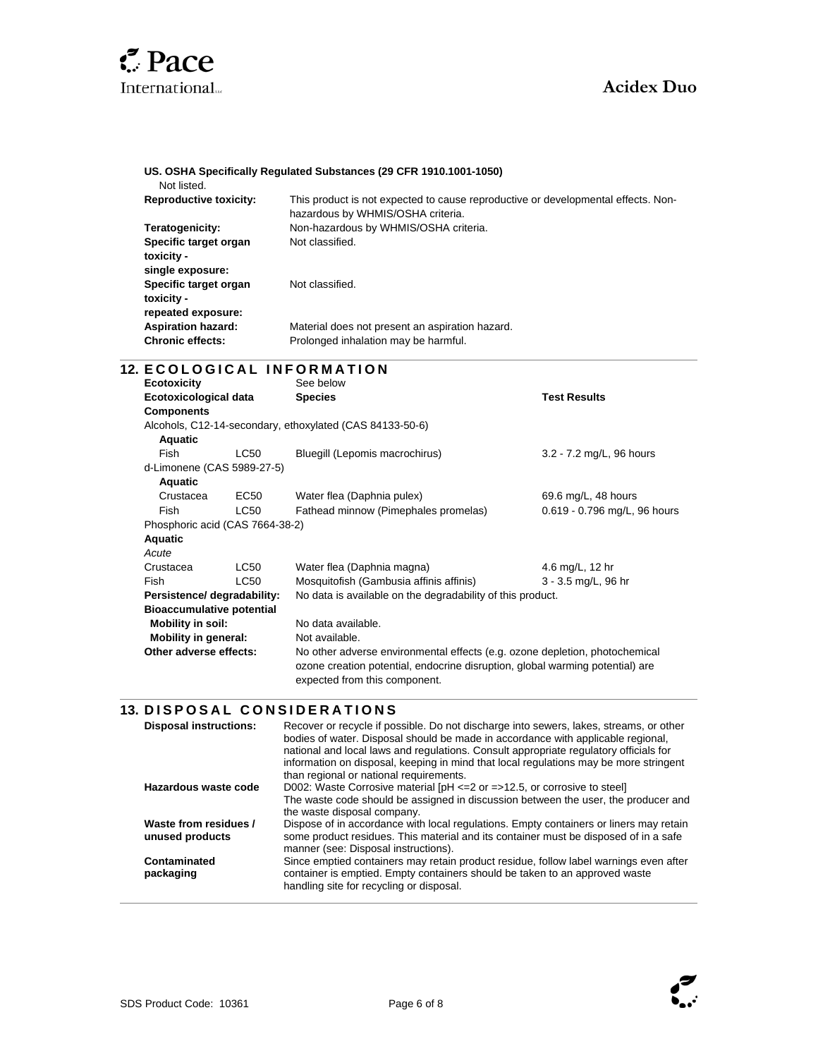

### **US. OSHA Specifically Regulated Substances (29 CFR 1910.1001-1050)**

Not listed.

l

l

l

| <b>Reproductive toxicity:</b> | This product is not expected to cause reproductive or developmental effects. Non-<br>hazardous by WHMIS/OSHA criteria. |
|-------------------------------|------------------------------------------------------------------------------------------------------------------------|
| Teratogenicity:               | Non-hazardous by WHMIS/OSHA criteria.                                                                                  |
| Specific target organ         | Not classified.                                                                                                        |
| toxicity -                    |                                                                                                                        |
| single exposure:              |                                                                                                                        |
| Specific target organ         | Not classified.                                                                                                        |
| toxicity -                    |                                                                                                                        |
| repeated exposure:            |                                                                                                                        |
| <b>Aspiration hazard:</b>     | Material does not present an aspiration hazard.                                                                        |
| <b>Chronic effects:</b>       | Prolonged inhalation may be harmful.                                                                                   |

### **12. ECOLOGICAL INFORMATION**

| Ecotoxicity                      |                                                          | See below                                                                                                      |                              |  |
|----------------------------------|----------------------------------------------------------|----------------------------------------------------------------------------------------------------------------|------------------------------|--|
| <b>Ecotoxicological data</b>     |                                                          | <b>Species</b>                                                                                                 | <b>Test Results</b>          |  |
| <b>Components</b>                |                                                          |                                                                                                                |                              |  |
|                                  | Alcohols, C12-14-secondary, ethoxylated (CAS 84133-50-6) |                                                                                                                |                              |  |
| Aquatic                          |                                                          |                                                                                                                |                              |  |
| <b>Fish</b>                      | LC50                                                     | Bluegill (Lepomis macrochirus)                                                                                 | 3.2 - 7.2 mg/L, 96 hours     |  |
| d-Limonene (CAS 5989-27-5)       |                                                          |                                                                                                                |                              |  |
| Aquatic                          |                                                          |                                                                                                                |                              |  |
| Crustacea                        | EC50                                                     | Water flea (Daphnia pulex)                                                                                     | 69.6 mg/L, 48 hours          |  |
| Fish                             | <b>LC50</b>                                              | Fathead minnow (Pimephales promelas)                                                                           | 0.619 - 0.796 mg/L, 96 hours |  |
| Phosphoric acid (CAS 7664-38-2)  |                                                          |                                                                                                                |                              |  |
| <b>Aquatic</b>                   |                                                          |                                                                                                                |                              |  |
| Acute                            |                                                          |                                                                                                                |                              |  |
| Crustacea                        | <b>LC50</b>                                              | Water flea (Daphnia magna)                                                                                     | 4.6 mg/L, 12 hr              |  |
| Fish                             | <b>LC50</b>                                              | Mosquitofish (Gambusia affinis affinis)                                                                        | 3 - 3.5 mg/L, 96 hr          |  |
| Persistence/ degradability:      |                                                          | No data is available on the degradability of this product.                                                     |                              |  |
| <b>Bioaccumulative potential</b> |                                                          |                                                                                                                |                              |  |
| Mobility in soil:                |                                                          | No data available.                                                                                             |                              |  |
| Mobility in general:             |                                                          | Not available.                                                                                                 |                              |  |
| Other adverse effects:           |                                                          | No other adverse environmental effects (e.g. ozone depletion, photochemical                                    |                              |  |
|                                  |                                                          | ozone creation potential, endocrine disruption, global warming potential) are<br>expected from this component. |                              |  |

### **13. DISPOSAL CONSIDERATIONS**

| <b>Disposal instructions:</b>            | Recover or recycle if possible. Do not discharge into sewers, lakes, streams, or other<br>bodies of water. Disposal should be made in accordance with applicable regional,<br>national and local laws and regulations. Consult appropriate regulatory officials for<br>information on disposal, keeping in mind that local regulations may be more stringent<br>than regional or national requirements. |
|------------------------------------------|---------------------------------------------------------------------------------------------------------------------------------------------------------------------------------------------------------------------------------------------------------------------------------------------------------------------------------------------------------------------------------------------------------|
| Hazardous waste code                     | D002: Waste Corrosive material $[PH \le 2$ or $= >12.5$ , or corrosive to steel<br>The waste code should be assigned in discussion between the user, the producer and<br>the waste disposal company.                                                                                                                                                                                                    |
| Waste from residues /<br>unused products | Dispose of in accordance with local regulations. Empty containers or liners may retain<br>some product residues. This material and its container must be disposed of in a safe<br>manner (see: Disposal instructions).                                                                                                                                                                                  |
| Contaminated<br>packaging                | Since emptied containers may retain product residue, follow label warnings even after<br>container is emptied. Empty containers should be taken to an approved waste<br>handling site for recycling or disposal.                                                                                                                                                                                        |



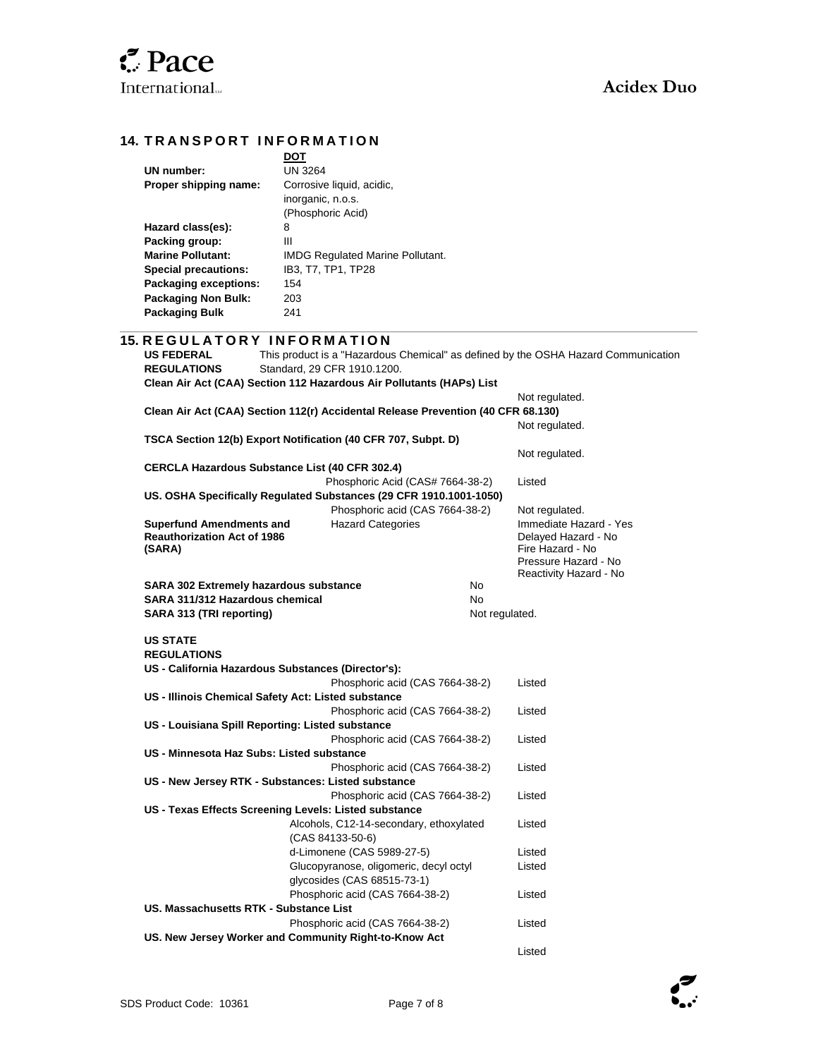### **14. TRANSPORT INFORMATION**

| DOT                                     |
|-----------------------------------------|
| <b>UN 3264</b>                          |
| Corrosive liquid, acidic,               |
| inorganic, n.o.s.                       |
| (Phosphoric Acid)                       |
| 8                                       |
| Ш                                       |
| <b>IMDG Regulated Marine Pollutant.</b> |
| IB3, T7, TP1, TP28                      |
| 154                                     |
| 203                                     |
| 241                                     |
|                                         |

### **15. R E G U L A T O R Y I N F O R M A T I O N**

| <b>US FEDERAL</b><br><b>REGULATIONS</b> | Standard, 29 CFR 1910.1200.                                                      |                                  | This product is a "Hazardous Chemical" as defined by the OSHA Hazard Communication |
|-----------------------------------------|----------------------------------------------------------------------------------|----------------------------------|------------------------------------------------------------------------------------|
|                                         | Clean Air Act (CAA) Section 112 Hazardous Air Pollutants (HAPs) List             |                                  |                                                                                    |
|                                         |                                                                                  |                                  | Not regulated.                                                                     |
|                                         | Clean Air Act (CAA) Section 112(r) Accidental Release Prevention (40 CFR 68.130) |                                  |                                                                                    |
|                                         |                                                                                  |                                  | Not regulated.                                                                     |
|                                         | TSCA Section 12(b) Export Notification (40 CFR 707, Subpt. D)                    |                                  |                                                                                    |
|                                         |                                                                                  |                                  | Not regulated.                                                                     |
|                                         | <b>CERCLA Hazardous Substance List (40 CFR 302.4)</b>                            |                                  |                                                                                    |
|                                         |                                                                                  | Phosphoric Acid (CAS# 7664-38-2) | Listed                                                                             |
|                                         | US. OSHA Specifically Regulated Substances (29 CFR 1910.1001-1050)               |                                  |                                                                                    |
|                                         |                                                                                  | Phosphoric acid (CAS 7664-38-2)  | Not regulated.                                                                     |
| <b>Superfund Amendments and</b>         | <b>Hazard Categories</b>                                                         |                                  | Immediate Hazard - Yes                                                             |
| <b>Reauthorization Act of 1986</b>      |                                                                                  |                                  | Delayed Hazard - No                                                                |
| (SARA)                                  |                                                                                  |                                  | Fire Hazard - No                                                                   |
|                                         |                                                                                  |                                  | Pressure Hazard - No                                                               |
|                                         | SARA 302 Extremely hazardous substance                                           | <b>No</b>                        | Reactivity Hazard - No                                                             |
| SARA 311/312 Hazardous chemical         |                                                                                  | N <sub>o</sub>                   |                                                                                    |
| SARA 313 (TRI reporting)                |                                                                                  | Not regulated.                   |                                                                                    |
|                                         |                                                                                  |                                  |                                                                                    |
| <b>US STATE</b>                         |                                                                                  |                                  |                                                                                    |
| <b>REGULATIONS</b>                      |                                                                                  |                                  |                                                                                    |
|                                         | US - California Hazardous Substances (Director's):                               |                                  |                                                                                    |
|                                         |                                                                                  | Phosphoric acid (CAS 7664-38-2)  | Listed                                                                             |
|                                         | US - Illinois Chemical Safety Act: Listed substance                              |                                  |                                                                                    |
|                                         |                                                                                  | Phosphoric acid (CAS 7664-38-2)  | Listed                                                                             |
|                                         | US - Louisiana Spill Reporting: Listed substance                                 |                                  |                                                                                    |
|                                         |                                                                                  | Phosphoric acid (CAS 7664-38-2)  | Listed                                                                             |
|                                         | US - Minnesota Haz Subs: Listed substance                                        |                                  |                                                                                    |
|                                         |                                                                                  | Phosphoric acid (CAS 7664-38-2)  | Listed                                                                             |
|                                         | US - New Jersey RTK - Substances: Listed substance                               |                                  |                                                                                    |
|                                         |                                                                                  | Phosphoric acid (CAS 7664-38-2)  | Listed                                                                             |
|                                         | US - Texas Effects Screening Levels: Listed substance                            |                                  |                                                                                    |
|                                         | Alcohols, C12-14-secondary, ethoxylated                                          |                                  | Listed                                                                             |
|                                         | (CAS 84133-50-6)                                                                 |                                  |                                                                                    |
|                                         | d-Limonene (CAS 5989-27-5)                                                       |                                  | Listed                                                                             |
|                                         | Glucopyranose, oligomeric, decyl octyl                                           |                                  | Listed                                                                             |
|                                         | glycosides (CAS 68515-73-1)                                                      |                                  |                                                                                    |
|                                         | Phosphoric acid (CAS 7664-38-2)                                                  |                                  | Listed                                                                             |
|                                         | US. Massachusetts RTK - Substance List                                           |                                  |                                                                                    |
|                                         | Phosphoric acid (CAS 7664-38-2)                                                  |                                  | Listed                                                                             |
|                                         | US. New Jersey Worker and Community Right-to-Know Act                            |                                  |                                                                                    |
|                                         |                                                                                  |                                  | Listed                                                                             |